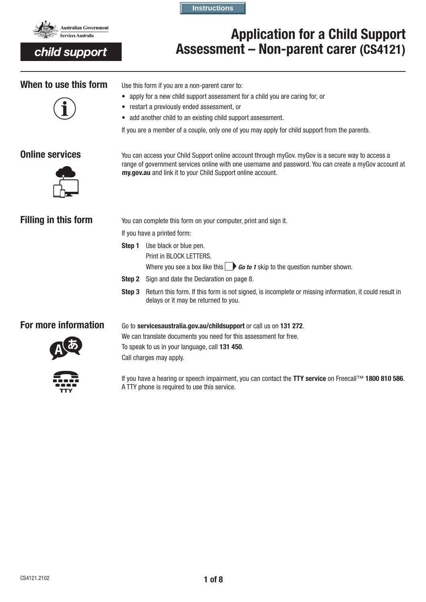

child support

**Instructions**

# Application for a Child Support Assessment – Non-parent carer (CS4121)



When to use this form Use this form if you are a non-parent carer to:

- apply for a new child support assessment for a child you are caring for, or
- restart a previously ended assessment, or
- add another child to an existing child support assessment.

If you are a member of a couple, only one of you may apply for child support from the parents.



**Online services** You can access your Child Support online account through myGov. myGov is a secure way to access a range of government services online with one username and password. You can create a myGov account at my.gov.au and link it to your Child Support online account.

**Filling in this form** You can complete this form on your computer, print and sign it.

If you have a printed form:

Step 1 Use black or blue pen. Print in BLOCK LETTERS.

Where you see a box like this  $\Box$  **Go to 1** skip to the question number shown.

- **Step 2** Sign and date the Declaration on page 8.
- Step 3 Return this form. If this form is not signed, is incomplete or missing information, it could result in delays or it may be returned to you.

## **For more information** Go to servicesaustralia.gov.au/childsupport or call us on 131 272.



We can translate documents you need for this assessment for free. To speak to us in your language, call 131 450. Call charges may apply.



If you have a hearing or speech impairment, you can contact the TTY service on Freecall™ 1800 810 586. A TTY phone is required to use this service.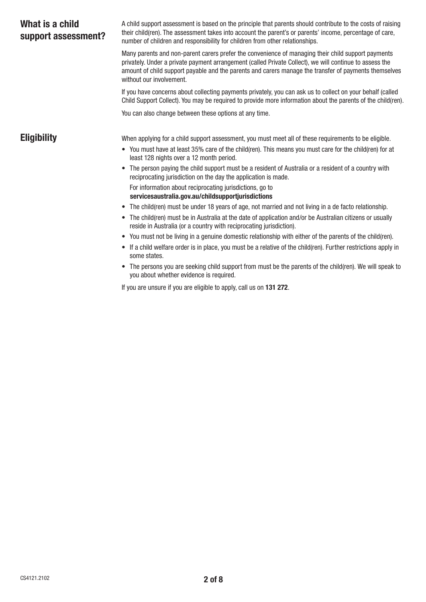| What is a child<br>support assessment? | A child support assessment is based on the principle that parents should contribute to the costs of raising<br>their child(ren). The assessment takes into account the parent's or parents' income, percentage of care,<br>number of children and responsibility for children from other relationships.                                            |
|----------------------------------------|----------------------------------------------------------------------------------------------------------------------------------------------------------------------------------------------------------------------------------------------------------------------------------------------------------------------------------------------------|
|                                        | Many parents and non-parent carers prefer the convenience of managing their child support payments<br>privately. Under a private payment arrangement (called Private Collect), we will continue to assess the<br>amount of child support payable and the parents and carers manage the transfer of payments themselves<br>without our involvement. |
|                                        | If you have concerns about collecting payments privately, you can ask us to collect on your behalf (called<br>Child Support Collect). You may be required to provide more information about the parents of the child(ren).                                                                                                                         |
|                                        | You can also change between these options at any time.                                                                                                                                                                                                                                                                                             |
| <b>Eligibility</b>                     | When applying for a child support assessment, you must meet all of these requirements to be eligible.<br>• You must have at least 35% care of the child(ren). This means you must care for the child(ren) for at<br>least 128 nights over a 12 month period.                                                                                       |
|                                        | The person paying the child support must be a resident of Australia or a resident of a country with<br>$\bullet$<br>reciprocating jurisdiction on the day the application is made.                                                                                                                                                                 |
|                                        | For information about reciprocating jurisdictions, go to<br>servicesaustralia.gov.au/childsupportjurisdictions                                                                                                                                                                                                                                     |
|                                        | The child (ren) must be under 18 years of age, not married and not living in a de facto relationship.<br>$\bullet$                                                                                                                                                                                                                                 |
|                                        | The child(ren) must be in Australia at the date of application and/or be Australian citizens or usually<br>$\bullet$<br>reside in Australia (or a country with reciprocating jurisdiction).                                                                                                                                                        |
|                                        | You must not be living in a genuine domestic relationship with either of the parents of the child(ren).<br>$\bullet$                                                                                                                                                                                                                               |
|                                        | If a child welfare order is in place, you must be a relative of the child(ren). Further restrictions apply in<br>some states.                                                                                                                                                                                                                      |

• The persons you are seeking child support from must be the parents of the child(ren). We will speak to you about whether evidence is required.

If you are unsure if you are eligible to apply, call us on 131 272.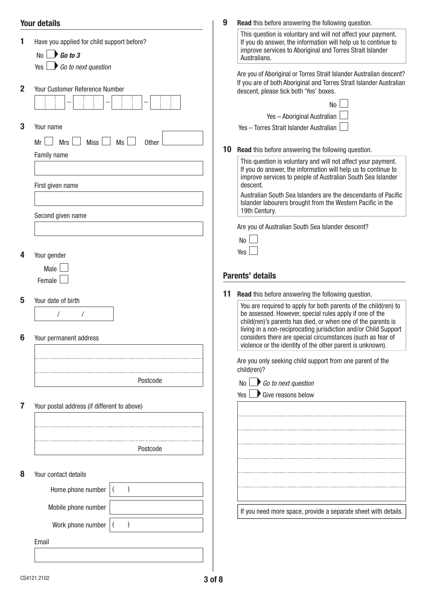|              | <b>Your details</b>                                                                               | 9  | <b>Read</b> this before answering the following question.                                                                                                                                                                                                                                                                   |
|--------------|---------------------------------------------------------------------------------------------------|----|-----------------------------------------------------------------------------------------------------------------------------------------------------------------------------------------------------------------------------------------------------------------------------------------------------------------------------|
|              | Have you applied for child support before?<br>No $\Box$ Go to 3<br>Yes $\Box$ Go to next question |    | This question is voluntary and will not affect your payment.<br>If you do answer, the information will help us to continue to<br>improve services to Aboriginal and Torres Strait Islander<br>Australians.                                                                                                                  |
| $\mathbf{2}$ | Your Customer Reference Number                                                                    |    | Are you of Aboriginal or Torres Strait Islander Australian descent?<br>If you are of both Aboriginal and Torres Strait Islander Australian<br>descent, please tick both 'Yes' boxes.<br>No                                                                                                                                  |
|              |                                                                                                   |    | Yes - Aboriginal Australian                                                                                                                                                                                                                                                                                                 |
| 3            | Your name                                                                                         |    | Yes - Torres Strait Islander Australian                                                                                                                                                                                                                                                                                     |
|              | <b>Miss</b><br><b>Mrs</b><br>Ms<br><b>Other</b><br>Mr                                             |    |                                                                                                                                                                                                                                                                                                                             |
|              | Family name                                                                                       | 10 | <b>Read</b> this before answering the following question.                                                                                                                                                                                                                                                                   |
|              | First given name                                                                                  |    | This question is voluntary and will not affect your payment.<br>If you do answer, the information will help us to continue to<br>improve services to people of Australian South Sea Islander<br>descent.                                                                                                                    |
|              | Second given name                                                                                 |    | Australian South Sea Islanders are the descendants of Pacific<br>Islander labourers brought from the Western Pacific in the<br>19th Century.                                                                                                                                                                                |
|              |                                                                                                   |    | Are you of Australian South Sea Islander descent?                                                                                                                                                                                                                                                                           |
|              |                                                                                                   |    | N <sub>o</sub>                                                                                                                                                                                                                                                                                                              |
|              |                                                                                                   |    | Yes                                                                                                                                                                                                                                                                                                                         |
| 4            | Your gender                                                                                       |    |                                                                                                                                                                                                                                                                                                                             |
|              | Male                                                                                              |    | <b>Parents' details</b>                                                                                                                                                                                                                                                                                                     |
|              | Female                                                                                            |    |                                                                                                                                                                                                                                                                                                                             |
| 5            |                                                                                                   | 11 | <b>Read</b> this before answering the following question.                                                                                                                                                                                                                                                                   |
|              | Your date of birth<br>Your permanent address                                                      |    | You are required to apply for both parents of the child(ren) to<br>be assessed. However, special rules apply if one of the<br>child(ren)'s parents has died, or when one of the parents is<br>living in a non-reciprocating jurisdiction and/or Child Support<br>considers there are special circumstances (such as fear of |
|              |                                                                                                   |    | violence or the identity of the other parent is unknown).                                                                                                                                                                                                                                                                   |
|              |                                                                                                   |    | Are you only seeking child support from one parent of the<br>child(ren)?                                                                                                                                                                                                                                                    |
|              | Postcode                                                                                          |    | $\Box$ Go to next question<br>No                                                                                                                                                                                                                                                                                            |
|              |                                                                                                   |    | Give reasons below<br>Yes                                                                                                                                                                                                                                                                                                   |
|              | Your postal address (if different to above)                                                       |    |                                                                                                                                                                                                                                                                                                                             |
|              |                                                                                                   |    |                                                                                                                                                                                                                                                                                                                             |
|              |                                                                                                   |    |                                                                                                                                                                                                                                                                                                                             |
|              |                                                                                                   |    |                                                                                                                                                                                                                                                                                                                             |
|              | Postcode                                                                                          |    |                                                                                                                                                                                                                                                                                                                             |
|              |                                                                                                   |    |                                                                                                                                                                                                                                                                                                                             |
| 8            | Your contact details                                                                              |    |                                                                                                                                                                                                                                                                                                                             |
|              | Home phone number                                                                                 |    |                                                                                                                                                                                                                                                                                                                             |
|              |                                                                                                   |    |                                                                                                                                                                                                                                                                                                                             |
|              | Mobile phone number                                                                               |    | If you need more space, provide a separate sheet with details.                                                                                                                                                                                                                                                              |
|              | Work phone number                                                                                 |    |                                                                                                                                                                                                                                                                                                                             |
|              |                                                                                                   |    |                                                                                                                                                                                                                                                                                                                             |
|              | Email                                                                                             |    |                                                                                                                                                                                                                                                                                                                             |
|              |                                                                                                   |    |                                                                                                                                                                                                                                                                                                                             |
|              |                                                                                                   |    |                                                                                                                                                                                                                                                                                                                             |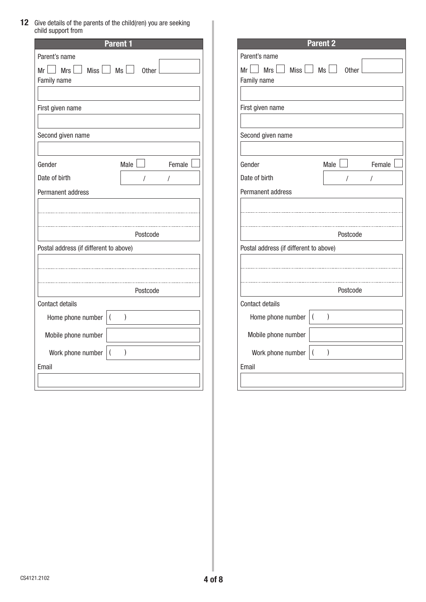12 Give details of the parents of the child(ren) you are seeking child support from

|                                                    |           | <b>Parent 1</b> |   |        |
|----------------------------------------------------|-----------|-----------------|---|--------|
| Parent's name                                      |           |                 |   |        |
| $Mr \tMrs$ Miss $M$ Ms $\Box$ Other<br>Family name |           |                 |   |        |
|                                                    |           |                 |   |        |
| First given name                                   |           |                 |   |        |
| Second given name                                  |           |                 |   |        |
| Gender                                             |           | Male            |   | Female |
| Date of birth                                      |           | Ι               | 1 |        |
|                                                    |           |                 |   |        |
| Permanent address                                  |           |                 |   |        |
| Postal address (if different to above)             |           | Postcode        |   |        |
|                                                    |           |                 |   |        |
|                                                    |           | Postcode        |   |        |
| <b>Contact details</b>                             |           |                 |   |        |
| Home phone number                                  | $\vert$ ( | $\big)$         |   |        |
| Mobile phone number                                |           |                 |   |        |
| Work phone number                                  | $\vert$ ( | $\mathcal{E}$   |   |        |

| <b>Parent 2</b>                        |                |                      |  |        |  |
|----------------------------------------|----------------|----------------------|--|--------|--|
| Parent's name                          |                |                      |  |        |  |
| $Mr \tMrs$ Miss $Ms \tMss$ Other       |                |                      |  |        |  |
| Family name                            |                |                      |  |        |  |
|                                        |                |                      |  |        |  |
| First given name                       |                |                      |  |        |  |
|                                        |                |                      |  |        |  |
| Second given name                      |                |                      |  |        |  |
|                                        |                |                      |  |        |  |
| Gender                                 |                | Male                 |  | Female |  |
| Date of birth                          |                | $\sqrt{\phantom{a}}$ |  | T      |  |
| Permanent address                      |                |                      |  |        |  |
|                                        |                |                      |  |        |  |
|                                        |                |                      |  |        |  |
| Postcode                               |                |                      |  |        |  |
| Postal address (if different to above) |                |                      |  |        |  |
|                                        |                |                      |  |        |  |
|                                        |                |                      |  |        |  |
|                                        |                |                      |  |        |  |
| Postcode                               |                |                      |  |        |  |
| Contact details                        |                |                      |  |        |  |
| Home phone number                      | $\overline{(}$ | $\big)$              |  |        |  |
| Mobile phone number                    |                |                      |  |        |  |
| Work phone number                      | $\overline{(}$ | )                    |  |        |  |
| Email                                  |                |                      |  |        |  |
|                                        |                |                      |  |        |  |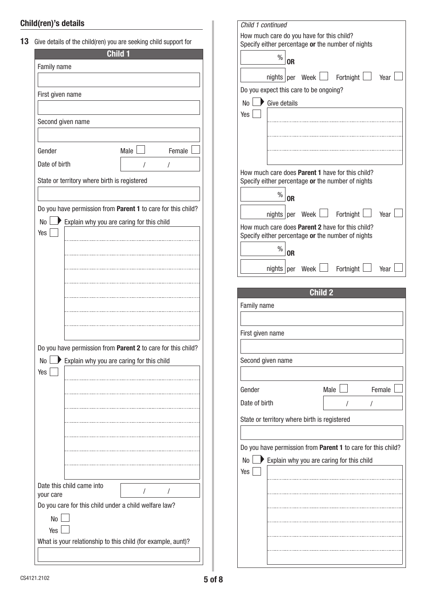## Child(ren)'s details

| First given name<br>Second given name<br>Gender<br>Date of birth |                                                                                                           |
|------------------------------------------------------------------|-----------------------------------------------------------------------------------------------------------|
|                                                                  |                                                                                                           |
|                                                                  |                                                                                                           |
|                                                                  |                                                                                                           |
|                                                                  | Male  <br>Female                                                                                          |
|                                                                  | T<br>T                                                                                                    |
| State or territory where birth is registered                     |                                                                                                           |
|                                                                  |                                                                                                           |
| No <sub>1</sub>                                                  | Do you have permission from Parent 1 to care for this child?<br>Explain why you are caring for this child |
| Yes                                                              |                                                                                                           |
|                                                                  |                                                                                                           |
|                                                                  |                                                                                                           |
|                                                                  |                                                                                                           |
|                                                                  |                                                                                                           |
|                                                                  |                                                                                                           |
|                                                                  |                                                                                                           |
|                                                                  |                                                                                                           |
|                                                                  | Do you have permission from Parent 2 to care for this child?                                              |
| No                                                               | Explain why you are caring for this child                                                                 |
| Yes                                                              |                                                                                                           |
|                                                                  |                                                                                                           |
|                                                                  |                                                                                                           |
|                                                                  |                                                                                                           |
|                                                                  |                                                                                                           |
|                                                                  |                                                                                                           |
|                                                                  |                                                                                                           |
|                                                                  |                                                                                                           |
| Date this child came into<br>your care                           | I<br>T                                                                                                    |
| Do you care for this child under a child welfare law?            |                                                                                                           |
| No                                                               |                                                                                                           |
| Yes I                                                            | What is your relationship to this child (for example, aunt)?                                              |

| Child 1 continued                            |                                                                                                              |  |  |  |
|----------------------------------------------|--------------------------------------------------------------------------------------------------------------|--|--|--|
|                                              | How much care do you have for this child?<br>Specify either percentage or the number of nights               |  |  |  |
|                                              | $\%$<br>0 <sub>R</sub>                                                                                       |  |  |  |
|                                              | nights per Week $\Box$ Fortnight $\Box$ Year                                                                 |  |  |  |
|                                              | Do you expect this care to be ongoing?                                                                       |  |  |  |
| No <sub>1</sub>                              | Give details                                                                                                 |  |  |  |
| Yes                                          |                                                                                                              |  |  |  |
|                                              |                                                                                                              |  |  |  |
|                                              |                                                                                                              |  |  |  |
|                                              |                                                                                                              |  |  |  |
|                                              | How much care does Parent 1 have for this child?<br>Specify either percentage or the number of nights        |  |  |  |
|                                              | $\%$                                                                                                         |  |  |  |
|                                              | 0 <sub>R</sub>                                                                                               |  |  |  |
|                                              | nights per Week $\Box$ Fortnight $\Box$ Year                                                                 |  |  |  |
|                                              | How much care does <b>Parent 2</b> have for this child?<br>Specify either percentage or the number of nights |  |  |  |
|                                              | $\%$<br>0R                                                                                                   |  |  |  |
|                                              |                                                                                                              |  |  |  |
|                                              | nights $ per $ Week $ $<br>Fortnight<br>Year                                                                 |  |  |  |
|                                              | <b>Child 2</b>                                                                                               |  |  |  |
| Family name                                  |                                                                                                              |  |  |  |
|                                              |                                                                                                              |  |  |  |
| First given name                             |                                                                                                              |  |  |  |
|                                              |                                                                                                              |  |  |  |
|                                              | Second given name                                                                                            |  |  |  |
|                                              |                                                                                                              |  |  |  |
| Gender                                       | Male $\Box$<br>Female                                                                                        |  |  |  |
| Date of birth                                |                                                                                                              |  |  |  |
| State or territory where birth is registered |                                                                                                              |  |  |  |
|                                              |                                                                                                              |  |  |  |
|                                              | Do you have permission from Parent 1 to care for this child?                                                 |  |  |  |
| N <sub>o</sub>                               | Explain why you are caring for this child                                                                    |  |  |  |
| Yes                                          |                                                                                                              |  |  |  |
|                                              |                                                                                                              |  |  |  |
|                                              | .                                                                                                            |  |  |  |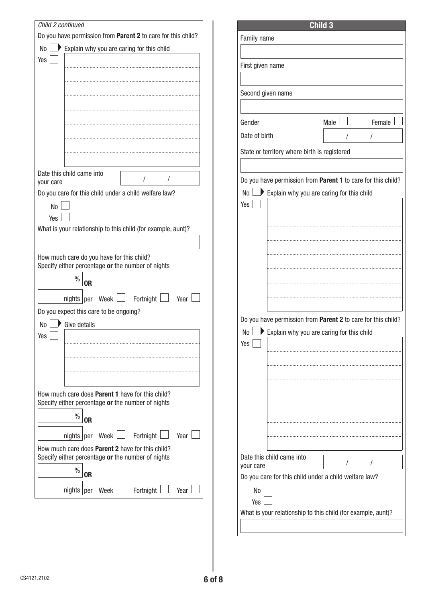| Child 2 continued                                                                                            |                                                              |                                                                       |
|--------------------------------------------------------------------------------------------------------------|--------------------------------------------------------------|-----------------------------------------------------------------------|
|                                                                                                              | Do you have permission from Parent 2 to care for this child? |                                                                       |
| No                                                                                                           | Explain why you are caring for this child                    | Family name                                                           |
| Yes                                                                                                          |                                                              |                                                                       |
|                                                                                                              |                                                              | First given name                                                      |
|                                                                                                              |                                                              |                                                                       |
|                                                                                                              |                                                              | Second given name                                                     |
|                                                                                                              |                                                              |                                                                       |
|                                                                                                              |                                                              |                                                                       |
|                                                                                                              |                                                              | Gender                                                                |
|                                                                                                              |                                                              | Date of birth                                                         |
|                                                                                                              |                                                              | State or territory whe                                                |
|                                                                                                              |                                                              |                                                                       |
| Date this child came into                                                                                    |                                                              |                                                                       |
| your care                                                                                                    |                                                              | Do you have permiss                                                   |
| Do you care for this child under a child welfare law?                                                        |                                                              | $\blacktriangleright$ Explain wh<br>No                                |
| No                                                                                                           |                                                              | Yes                                                                   |
| Yes                                                                                                          |                                                              |                                                                       |
|                                                                                                              | What is your relationship to this child (for example, aunt)? |                                                                       |
|                                                                                                              |                                                              |                                                                       |
| How much care do you have for this child?                                                                    |                                                              |                                                                       |
| Specify either percentage or the number of nights                                                            |                                                              |                                                                       |
| $\%$<br><b>OR</b>                                                                                            |                                                              |                                                                       |
|                                                                                                              |                                                              |                                                                       |
| nights per                                                                                                   | Fortnight $\Box$<br>Week $\Box$<br>Year                      |                                                                       |
| Do you expect this care to be ongoing?                                                                       |                                                              | Do you have permiss                                                   |
| Give details<br>No                                                                                           |                                                              |                                                                       |
| Yes                                                                                                          |                                                              | Explain wh<br>No                                                      |
|                                                                                                              |                                                              | Yes                                                                   |
|                                                                                                              |                                                              |                                                                       |
|                                                                                                              |                                                              |                                                                       |
|                                                                                                              |                                                              |                                                                       |
| How much care does <b>Parent 1</b> have for this child?                                                      |                                                              |                                                                       |
| Specify either percentage or the number of nights                                                            |                                                              |                                                                       |
| $\%$<br><b>OR</b>                                                                                            |                                                              |                                                                       |
| nights $per$ Week $\Box$                                                                                     |                                                              |                                                                       |
|                                                                                                              |                                                              |                                                                       |
|                                                                                                              | Fortnight<br>Year                                            |                                                                       |
|                                                                                                              |                                                              |                                                                       |
|                                                                                                              |                                                              | your care                                                             |
| $\%$<br><b>OR</b>                                                                                            |                                                              |                                                                       |
| nights per Week L                                                                                            | Fortnight<br>Year                                            | No                                                                    |
|                                                                                                              |                                                              | Yes                                                                   |
|                                                                                                              |                                                              | Date this child came<br>Do you care for this<br>What is your relation |
| How much care does <b>Parent 2</b> have for this child?<br>Specify either percentage or the number of nights |                                                              |                                                                       |

| Family name                                                  |                                                              |             |        |  |  |  |
|--------------------------------------------------------------|--------------------------------------------------------------|-------------|--------|--|--|--|
|                                                              |                                                              |             |        |  |  |  |
| First given name                                             |                                                              |             |        |  |  |  |
|                                                              |                                                              |             |        |  |  |  |
| Second given name                                            |                                                              |             |        |  |  |  |
|                                                              |                                                              |             |        |  |  |  |
| Gender                                                       |                                                              | Male $\Box$ | Female |  |  |  |
| Date of birth                                                |                                                              | I           | T      |  |  |  |
|                                                              | State or territory where birth is registered                 |             |        |  |  |  |
|                                                              |                                                              |             |        |  |  |  |
|                                                              | Do you have permission from Parent 1 to care for this child? |             |        |  |  |  |
|                                                              | No <b>D</b> Explain why you are caring for this child        |             |        |  |  |  |
| Yes                                                          |                                                              |             |        |  |  |  |
|                                                              |                                                              |             |        |  |  |  |
|                                                              |                                                              |             |        |  |  |  |
|                                                              |                                                              |             |        |  |  |  |
|                                                              |                                                              |             |        |  |  |  |
|                                                              |                                                              |             |        |  |  |  |
|                                                              |                                                              |             |        |  |  |  |
|                                                              |                                                              |             |        |  |  |  |
|                                                              | Do you have permission from Parent 2 to care for this child? |             |        |  |  |  |
| No                                                           | Explain why you are caring for this child                    |             |        |  |  |  |
| Yes                                                          |                                                              |             |        |  |  |  |
|                                                              |                                                              |             |        |  |  |  |
|                                                              |                                                              |             |        |  |  |  |
|                                                              |                                                              |             |        |  |  |  |
|                                                              |                                                              |             |        |  |  |  |
|                                                              |                                                              |             |        |  |  |  |
|                                                              |                                                              |             |        |  |  |  |
|                                                              |                                                              |             |        |  |  |  |
| your care                                                    | Date this child came into                                    |             |        |  |  |  |
|                                                              | Do you care for this child under a child welfare law?        |             |        |  |  |  |
| N <sub>0</sub>                                               |                                                              |             |        |  |  |  |
| Yes                                                          |                                                              |             |        |  |  |  |
| What is your relationship to this child (for example, aunt)? |                                                              |             |        |  |  |  |
|                                                              |                                                              |             |        |  |  |  |

Child 3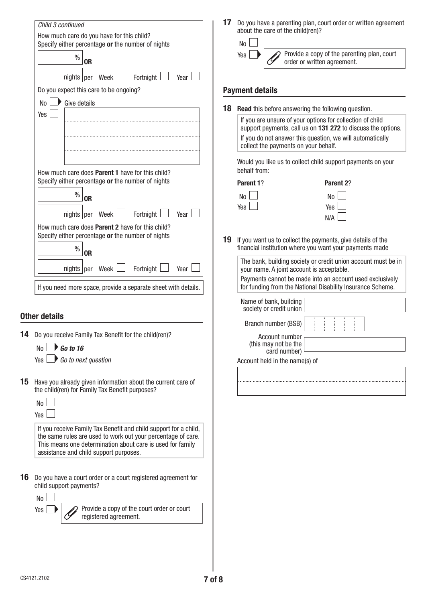|    | Child 3 continued<br>How much care do you have for this child?<br>Specify either percentage or the number of nights<br>$\%$<br><b>OR</b>                                                                                                 | 17 | Do you have a parenting plan, court order or written agreement<br>about the care of the child(ren)?<br><b>No</b><br>Provide a copy of the parenting plan, court<br>Yes<br>order or written agreement.                          |
|----|------------------------------------------------------------------------------------------------------------------------------------------------------------------------------------------------------------------------------------------|----|--------------------------------------------------------------------------------------------------------------------------------------------------------------------------------------------------------------------------------|
|    | Fortnight<br>nights   per Week  <br>Year<br>Do you expect this care to be ongoing?                                                                                                                                                       |    | <b>Payment details</b>                                                                                                                                                                                                         |
|    | Give details<br>No                                                                                                                                                                                                                       |    |                                                                                                                                                                                                                                |
|    | Yes                                                                                                                                                                                                                                      | 18 | <b>Read</b> this before answering the following question.                                                                                                                                                                      |
|    |                                                                                                                                                                                                                                          |    | If you are unsure of your options for collection of child<br>support payments, call us on 131 272 to discuss the options.<br>If you do not answer this question, we will automatically<br>collect the payments on your behalf. |
|    | How much care does <b>Parent 1</b> have for this child?                                                                                                                                                                                  |    | Would you like us to collect child support payments on your<br>behalf from:                                                                                                                                                    |
|    | Specify either percentage or the number of nights                                                                                                                                                                                        |    | Parent 1?<br>Parent 2?                                                                                                                                                                                                         |
|    | $\frac{0}{0}$<br><b>OR</b>                                                                                                                                                                                                               |    | No<br>No                                                                                                                                                                                                                       |
|    | Fortnight<br>nights   per Week  <br>Year                                                                                                                                                                                                 |    | Yes<br>Yes                                                                                                                                                                                                                     |
|    | How much care does Parent 2 have for this child?                                                                                                                                                                                         |    | N/A                                                                                                                                                                                                                            |
|    | Specify either percentage or the number of nights<br>$\%$<br><b>OR</b>                                                                                                                                                                   | 19 | If you want us to collect the payments, give details of the<br>financial institution where you want your payments made                                                                                                         |
|    | nights   per Week  <br>Fortnight<br>Year                                                                                                                                                                                                 |    | The bank, building society or credit union account must be in<br>your name. A joint account is acceptable.                                                                                                                     |
|    | If you need more space, provide a separate sheet with details.                                                                                                                                                                           |    | Payments cannot be made into an account used exclusively<br>for funding from the National Disability Insurance Scheme.                                                                                                         |
|    | <b>Other details</b>                                                                                                                                                                                                                     |    | Name of bank, building<br>society or credit union                                                                                                                                                                              |
|    |                                                                                                                                                                                                                                          |    | Branch number (BSB)                                                                                                                                                                                                            |
|    | 14 Do you receive Family Tax Benefit for the child(ren)?<br>No $\Box$ Go to 16                                                                                                                                                           |    | Account number<br>(this may not be the<br>card number)                                                                                                                                                                         |
|    | Go to next question<br>Yes L                                                                                                                                                                                                             |    | Account held in the name(s) of                                                                                                                                                                                                 |
| 15 | Have you already given information about the current care of<br>the child(ren) for Family Tax Benefit purposes?                                                                                                                          |    |                                                                                                                                                                                                                                |
|    | No<br>Yes                                                                                                                                                                                                                                |    |                                                                                                                                                                                                                                |
|    | If you receive Family Tax Benefit and child support for a child,<br>the same rules are used to work out your percentage of care.<br>This means one determination about care is used for family<br>assistance and child support purposes. |    |                                                                                                                                                                                                                                |
| 16 | Do you have a court order or a court registered agreement for<br>child support payments?                                                                                                                                                 |    |                                                                                                                                                                                                                                |
|    | No<br>Provide a copy of the court order or court<br>Yes<br>registered agreement.                                                                                                                                                         |    |                                                                                                                                                                                                                                |
|    |                                                                                                                                                                                                                                          |    |                                                                                                                                                                                                                                |